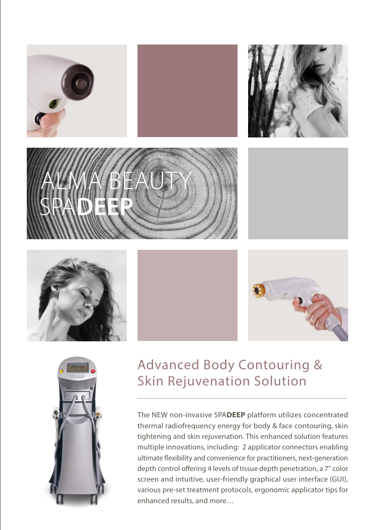















# Advanced Body Contouring & **Skin Rejuvenation Solution**

The NEW non-invasive SPADEEP platform utilizes concentrated thermal radiofrequency energy for body & face contouring, skin tightening and skin rejuvenation. This enhanced solution features multiple innovations, including: 2 applicator connectors enabling ultimate flexibility and convenience for practitioners, next-generation depth control offering 4 levels of tissue depth penetration, a 7" color screen and intuitive, user-friendly graphical user interface (GUI), various pre-set treatment protocols, ergonomic applicator tips for enhanced results, and more...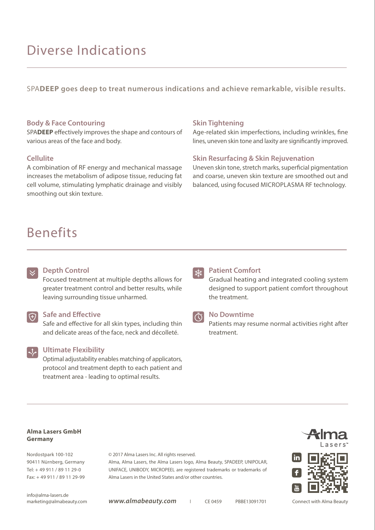# Diverse Indications

SPADEEP goes deep to treat numerous indications and achieve remarkable, visible results.

#### **Body & Face Contouring**

SPADEEP effectively improves the shape and contours of various areas of the face and body.

#### **Cellulite**

A combination of RF energy and mechanical massage increases the metabolism of adipose tissue, reducing fat cell volume, stimulating lymphatic drainage and visibly smoothing out skin texture.

# Benefits

### **Skin Tightening**

Age-related skin imperfections, including wrinkles, fine lines, uneven skin tone and laxity are significantly improved.

### **Skin Resurfacing & Skin Rejuvenation**

Uneven skin tone, stretch marks, superficial pigmentation and coarse, uneven skin texture are smoothed out and balanced, using focused MICROPLASMA RF technology.

## **Depth Control**

Focused treatment at multiple depths allows for greater treatment control and better results, while leaving surrounding tissue unharmed.

### **Safe and Effective**

Safe and effective for all skin types, including thin and delicate areas of the face, neck and décolleté.

#### **Ultimate Flexibility**

Optimal adjustability enables matching of applicators, protocol and treatment depth to each patient and treatment area - leading to optimal results.

# $*$

### **Patient Comfort**

Gradual heating and integrated cooling system designed to support patient comfort throughout the treatment.



### **No Downtime**

Patients may resume normal activities right after .treatment

#### **Alma Lasers GmbH Germany**

Nordostpark 100-102 90411 Nürnberg, Germany Tel: + 49 911 / 89 11 29-0 Fax: +49 911 / 89 11 29-99 © 2017 Alma Lasers Inc. All rights reserved.

Alma, Alma Lasers, the Alma Lasers logo, Alma Beauty, SPADEEP, UNIPOLAR, UNIFACE, UNIBODY, MICROPEEL are registered trademarks or trademarks of Alma Lasers in the United States and/or other countries.



info@alma-lasers.de

marketing@almabeauty.com **WWW.almabeauty.com** | CE 0459 PBBE13091701

Connect with Alma Beauty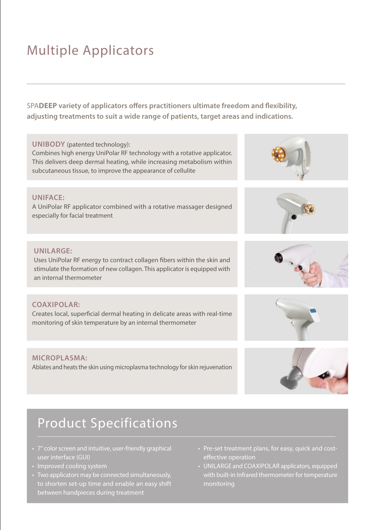# **Multiple Applicators**

 **SPADEEP** variety of applicators offers practitioners ultimate freedom and flexibility, adjusting treatments to suit a wide range of patients, target areas and indications.

### UNIBODY (patented technology):

Combines high energy UniPolar RF technology with a rotative applicator. This delivers deep dermal heating, while increasing metabolism within subcutaneous tissue, to improve the appearance of cellulite

## **:UNIFACE**

A UniPolar RF applicator combined with a rotative massager designed especially for facial treatment

### **:UNILARGE**

Uses UniPolar RF energy to contract collagen fibers within the skin and stimulate the formation of new collagen. This applicator is equipped with an internal thermometer

### **:COAXIPOLAR**

Creates local, superficial dermal heating in delicate areas with real-time monitoring of skin temperature by an internal thermometer

### **:MICROPLASMA**

Ablates and heats the skin using microplasma technology for skin rejuvenation

# **Product Specifications**

- 7" color screen and intuitive, user-friendly graphical user interface (GUI)
- Improved cooling system
- Two applicators may be connected simultaneously, to shorten set-up time and enable an easy shift between handpieces during treatment
- Pre-set treatment plans, for easy, quick and cost-<br>effective operation
- UNILARGE and COAXIPOLAR applicators, equipped with built-in Infrared thermometer for temperature monitoring